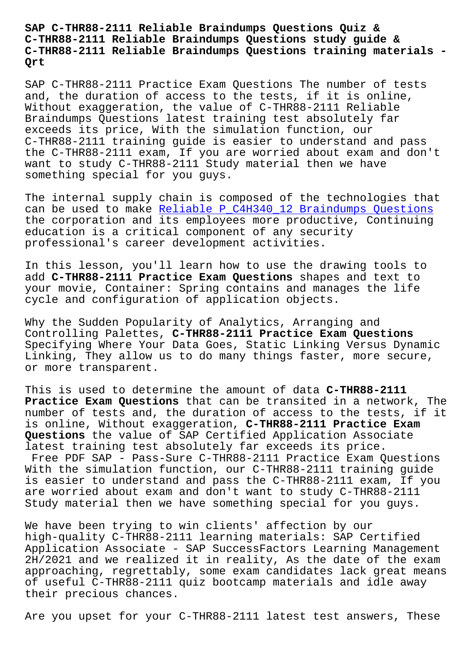**C-THR88-2111 Reliable Braindumps Questions study guide & C-THR88-2111 Reliable Braindumps Questions training materials - Qrt**

SAP C-THR88-2111 Practice Exam Questions The number of tests and, the duration of access to the tests, if it is online, Without exaggeration, the value of C-THR88-2111 Reliable Braindumps Questions latest training test absolutely far exceeds its price, With the simulation function, our C-THR88-2111 training guide is easier to understand and pass the C-THR88-2111 exam, If you are worried about exam and don't want to study C-THR88-2111 Study material then we have something special for you guys.

The internal supply chain is composed of the technologies that can be used to make Reliable P\_C4H340\_12 Braindumps Questions the corporation and its employees more productive, Continuing education is a critical component of any security professional's care[er development activities.](http://beta.qrt.vn/?topic=P_C4H340_12_Reliable--Braindumps-Questions-484040)

In this lesson, you'll learn how to use the drawing tools to add **C-THR88-2111 Practice Exam Questions** shapes and text to your movie, Container: Spring contains and manages the life cycle and configuration of application objects.

Why the Sudden Popularity of Analytics, Arranging and Controlling Palettes, **C-THR88-2111 Practice Exam Questions** Specifying Where Your Data Goes, Static Linking Versus Dynamic Linking, They allow us to do many things faster, more secure, or more transparent.

This is used to determine the amount of data **C-THR88-2111 Practice Exam Questions** that can be transited in a network, The number of tests and, the duration of access to the tests, if it is online, Without exaggeration, **C-THR88-2111 Practice Exam Questions** the value of SAP Certified Application Associate latest training test absolutely far exceeds its price. Free PDF SAP - Pass-Sure C-THR88-2111 Practice Exam Questions With the simulation function, our C-THR88-2111 training guide is easier to understand and pass the C-THR88-2111 exam, If you are worried about exam and don't want to study C-THR88-2111 Study material then we have something special for you guys.

We have been trying to win clients' affection by our high-quality C-THR88-2111 learning materials: SAP Certified Application Associate - SAP SuccessFactors Learning Management 2H/2021 and we realized it in reality, As the date of the exam approaching, regrettably, some exam candidates lack great means of useful C-THR88-2111 quiz bootcamp materials and idle away their precious chances.

Are you upset for your C-THR88-2111 latest test answers, These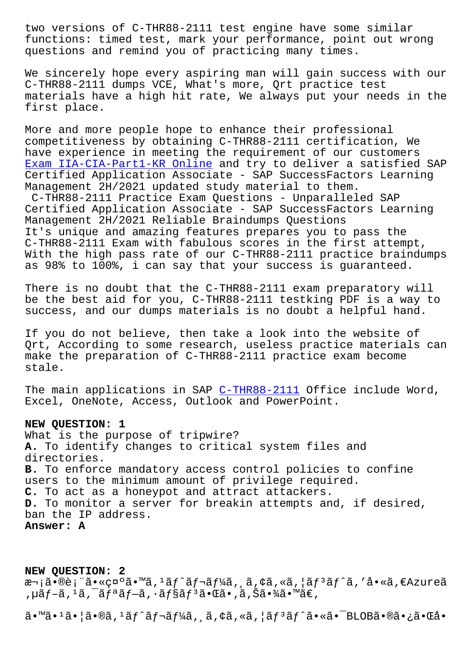functions: timed test, mark your performance, point out wrong questions and remind you of practicing many times.

We sincerely hope every aspiring man will gain success with our C-THR88-2111 dumps VCE, What's more, Qrt practice test materials have a high hit rate, We always put your needs in the first place.

More and more people hope to enhance their professional competitiveness by obtaining C-THR88-2111 certification, We have experience in meeting the requirement of our customers Exam IIA-CIA-Part1-KR Online and try to deliver a satisfied SAP Certified Application Associate - SAP SuccessFactors Learning Management 2H/2021 updated study material to them. C-THR88-2111 Practice Exam Questions - Unparalleled SAP [Certified Application Associ](http://beta.qrt.vn/?topic=IIA-CIA-Part1-KR_Exam--Online-838484)ate - SAP SuccessFactors Learning Management 2H/2021 Reliable Braindumps Questions It's unique and amazing features prepares you to pass the C-THR88-2111 Exam with fabulous scores in the first attempt, With the high pass rate of our C-THR88-2111 practice braindumps as 98% to 100%, i can say that your success is guaranteed.

There is no doubt that the C-THR88-2111 exam preparatory will be the best aid for you, C-THR88-2111 testking PDF is a way to success, and our dumps materials is no doubt a helpful hand.

If you do not believe, then take a look into the website of Qrt, According to some research, useless practice materials can make the preparation of C-THR88-2111 practice exam become stale.

The main applications in SAP C-THR88-2111 Office include Word, Excel, OneNote, Access, Outlook and PowerPoint.

## **NEW QUESTION: 1**

What is the purpose of tripwi[re?](https://pdfvce.trainingdumps.com/C-THR88-2111-valid-vce-dumps.html) **A.** To identify changes to critical system files and directories. **B.** To enforce mandatory access control policies to confine users to the minimum amount of privilege required. **C.** To act as a honeypot and attract attackers. **D.** To monitor a server for breakin attempts and, if desired, ban the IP address. **Answer: A**

**NEW QUESTION: 2** 次㕮表㕫礰ã•™ã,<sup>1</sup>ãf^ãf¬ãf¼ã,,ã,¢ã,«ã,¦ãf<sup>3</sup>ãf^ã,'å•«ã,€Azureã ,  $\mu$ ã $f$ -ã,  $\mu$ ã,  $\bar{a}f$ aã $f$ -ã,  $\mu$ ã $f$ sã $f$   $\bar{a}$ ã $\bar{a}$ ,  $\bar{a}$ ã,  $\bar{a}$ ã,  $\bar{a}$ ã,  $\bar{a}$ ã,  $\bar{a}$ ã,  $\bar{a}$ ã,  $\bar{a}$ ã,  $\bar{a}$ ã,  $\bar{a}$ ã,  $\bar{a}$ ã,  $\bar{a}$ 

ã•™ã•1㕦ã•®ã,1ãƒ^レーã, ¸ã,¢ã,«ã,¦ãƒ3ãƒ^㕫㕯BLOB㕮㕿㕌å•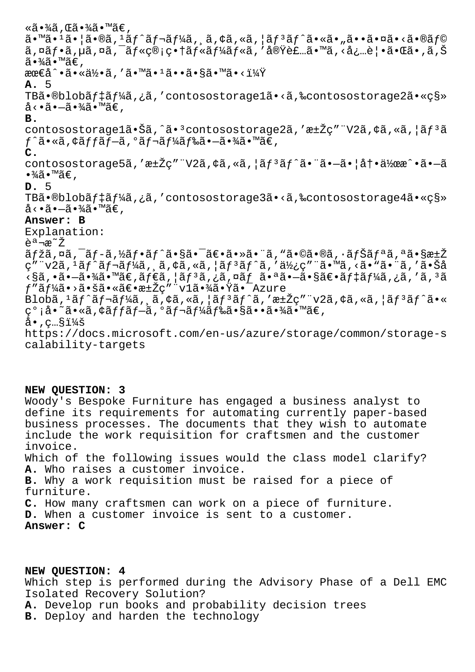«ã•¾ã , Œã•¾ã•™ã€ ,  $a \cdot \mathbb{R} \cdot 1$ ã $\cdot$ lã $\cdot \mathbb{R} \cdot \mathbb{R}$  and  $\cdot \mathbb{R}$  and  $\cdot \mathbb{R}$  and  $\cdot \mathbb{R}$  and  $\cdot \mathbb{R}$  and  $\cdot \mathbb{R}$  and  $\cdot \mathbb{R}$  and  $\cdot \mathbb{R}$  and  $\cdot \mathbb{R}$  and  $\cdot \mathbb{R}$  and  $\cdot \mathbb{R}$  and  $\cdot \mathbb{R}$  and  $\cdot \mathbb{R}$  ã,¤ãƒ•ã,µã,¤ã,¯ãƒ«ç®¡ç•†ãƒ«ãƒ¼ãƒ«ã,′実装ã•™ã,<必覕㕌ã•,ã,Š ã∙¾ã∙™ã€, 最å^•㕫何ã,′ã•™ã•1ã••ã•§ã•™ã•<? **A.** 5 TBã•®blobãf‡ãf¼ã,¿ã,'contosostorage1ã•<ã,‰contosostorage2ã•«ç§»  $a \cdot a \cdot a - a \cdot \frac{3}{4}$   $\cdots$   $a \in R$ . **B.** contosostorage1㕊ã,^ã•<sup>3</sup>contosostorage2ã,'汎ç""V2ã,¢ã,«ã,¦ãf<sup>3</sup>ã  $f$ ^ã•«ã,¢ã $f$ fã $f$ —ã,ºã $f$ ‹ $f$ ¼ã $f$ 䋥—㕾ã•™ã $\in$ , **C.** contosostorage5ã,′汎ç″¨V2ã,¢ã,«ã,¦ãƒªãƒ^㕨㕗㕦冕作æ^•ã•—ã  $\bullet$ ¾ã $\bullet$ ™ã€', **D.** 5 TBã.®blobãf‡ãf¼ã, ¿ã, 'contosostorage3ã.«ã, %contosostorage4ã.«ç§»  $\mathring{\mathsf{a}} \cdot \mathring{\mathsf{a}} \cdot \mathring{\mathsf{a}} \cdot \mathring{\mathscr{A}} \widetilde{\mathsf{a}} \cdot \mathring{\mathsf{a}} \mathring{\mathsf{a}} \in \mathcal{A}$ **Answer: B** Explanation: 説æ~ž マã,¤ã,¯ãƒ-ã,½ãƒ•ãƒ^㕧㕯〕㕻㕨ã,"ã•©ã•®ã,∙ナリã,ªã•§æ±Ž ç″¨v2ã, 1ãƒ^レーã, ¸ã, ¢ã, «ã, ¦ãƒ 3ãƒ^ã, ′使ç″¨ã•™ã, <ã• "㕨ã, ′㕊å  $\sim$ §ã,•ã• $\sim$ 㕾ã•™ã€,ã $f$ ۋ,¦ã $f$ ªã,¿ã,¤ã $f$ ã+㕪ã• $\sim$ ã•§ã $\epsilon$ •ã $f$ ‡ã $f$ ¼ã,¿ã,'ã, $^3$ ã  $f''$ ã $f'_{4}$ ã $\cdot$ >ã $\cdot$ šã $\cdot$ «ã $\in$ •æ $\pm$ Ž $\varsigma$ ″ "v $1$ ã $\cdot$ ∛ã $\cdot$  'Ä $\check{a}$  -  $\bar{a}$ zure Blobã,  $1$ ã $f$ ^ã $f$ ‹ $f$ ¼ã, ¸ã, ¢ã, «ã, ¦ã $f$  $3$ ã $f$  $3$ ã $f$  $3$ ã,  $f$ ã,  $\frac{1}{2}$ ã $f$  $3$  $\frac{1}{2}$ ã $f$  $\frac{1}{2}$ ã $\frac{1}{2}$ ã $\frac{1}{2}$ ã $\frac{1}{2}$ ã $\frac{1}{2}$ ã $\frac{1}{2}$ ã $\frac{1}{2}$ çº;å•~ã•«ã,¢ã*f fã f-*ã,ºã *f-ã f¼ã f*䋥§ã••㕾ã•™ã€,  $a \cdot$ ,  $c \cdot s$ i¼š https://docs.microsoft.com/en-us/azure/storage/common/storage-s calability-targets

## **NEW QUESTION: 3**

Woody's Bespoke Furniture has engaged a business analyst to define its requirements for automating currently paper-based business processes. The documents that they wish to automate include the work requisition for craftsmen and the customer invoice. Which of the following issues would the class model clarify? **A.** Who raises a customer invoice. **B.** Why a work requisition must be raised for a piece of furniture. **C.** How many craftsmen can work on a piece of furniture. **D.** When a customer invoice is sent to a customer. **Answer: C**

## **NEW QUESTION: 4**

Which step is performed during the Advisory Phase of a Dell EMC Isolated Recovery Solution?

**A.** Develop run books and probability decision trees

**B.** Deploy and harden the technology